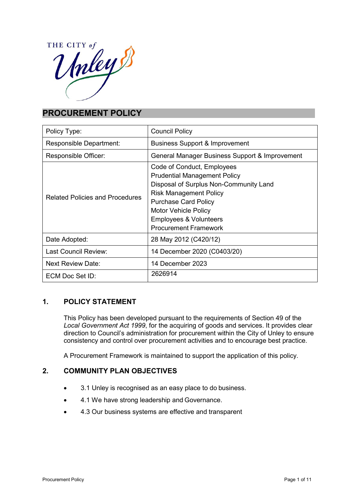

# **PROCUREMENT POLICY**

| Policy Type:                           | <b>Council Policy</b>                                                                                                                                                                                                                                                           |  |
|----------------------------------------|---------------------------------------------------------------------------------------------------------------------------------------------------------------------------------------------------------------------------------------------------------------------------------|--|
| Responsible Department:                | <b>Business Support &amp; Improvement</b>                                                                                                                                                                                                                                       |  |
| Responsible Officer:                   | General Manager Business Support & Improvement                                                                                                                                                                                                                                  |  |
| <b>Related Policies and Procedures</b> | Code of Conduct, Employees<br><b>Prudential Management Policy</b><br>Disposal of Surplus Non-Community Land<br><b>Risk Management Policy</b><br><b>Purchase Card Policy</b><br><b>Motor Vehicle Policy</b><br><b>Employees &amp; Volunteers</b><br><b>Procurement Framework</b> |  |
| Date Adopted:                          | 28 May 2012 (C420/12)                                                                                                                                                                                                                                                           |  |
| Last Council Review:                   | 14 December 2020 (C0403/20)                                                                                                                                                                                                                                                     |  |
| <b>Next Review Date:</b>               | 14 December 2023                                                                                                                                                                                                                                                                |  |
| ECM Doc Set ID:                        | 2626914                                                                                                                                                                                                                                                                         |  |

# **1. POLICY STATEMENT**

This Policy has been developed pursuant to the requirements of Section 49 of the *Local Government Act 1999*, for the acquiring of goods and services. It provides clear direction to Council's administration for procurement within the City of Unley to ensure consistency and control over procurement activities and to encourage best practice.

A Procurement Framework is maintained to support the application of this policy.

# **2. COMMUNITY PLAN OBJECTIVES**

- 3.1 Unley is recognised as an easy place to do business.
- 4.1 We have strong leadership and Governance.
- 4.3 Our business systems are effective and transparent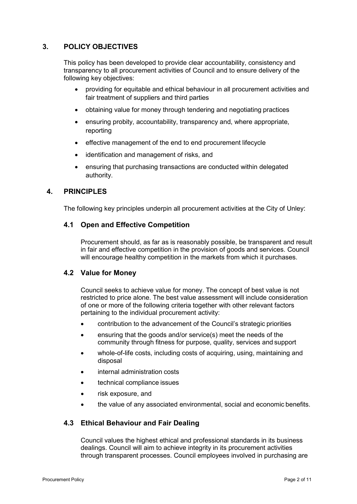# **3. POLICY OBJECTIVES**

This policy has been developed to provide clear accountability, consistency and transparency to all procurement activities of Council and to ensure delivery of the following key objectives:

- providing for equitable and ethical behaviour in all procurement activities and fair treatment of suppliers and third parties
- obtaining value for money through tendering and negotiating practices
- ensuring probity, accountability, transparency and, where appropriate, reporting
- effective management of the end to end procurement lifecycle
- identification and management of risks, and
- ensuring that purchasing transactions are conducted within delegated authority.

# **4. PRINCIPLES**

The following key principles underpin all procurement activities at the City of Unley:

### **4.1 Open and Effective Competition**

Procurement should, as far as is reasonably possible, be transparent and result in fair and effective competition in the provision of goods and services. Council will encourage healthy competition in the markets from which it purchases.

# **4.2 Value for Money**

Council seeks to achieve value for money. The concept of best value is not restricted to price alone. The best value assessment will include consideration of one or more of the following criteria together with other relevant factors pertaining to the individual procurement activity:

- contribution to the advancement of the Council's strategic priorities
- ensuring that the goods and/or service(s) meet the needs of the community through fitness for purpose, quality, services and support
- whole-of-life costs, including costs of acquiring, using, maintaining and disposal
- internal administration costs
- technical compliance issues
- risk exposure, and
- the value of any associated environmental, social and economic benefits.

# **4.3 Ethical Behaviour and Fair Dealing**

Council values the highest ethical and professional standards in its business dealings. Council will aim to achieve integrity in its procurement activities through transparent processes. Council employees involved in purchasing are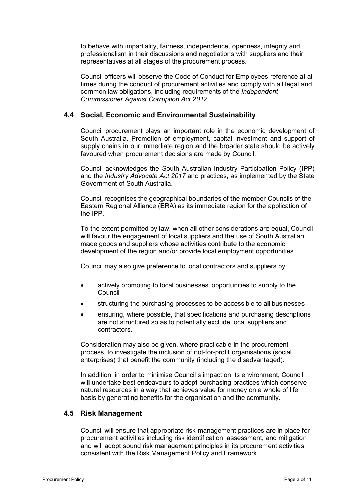to behave with impartiality, fairness, independence, openness, integrity and professionalism in their discussions and negotiations with suppliers and their representatives at all stages of the procurement process.

Council officers will observe the Code of Conduct for Employees reference at all times during the conduct of procurement activities and comply with all legal and common law obligations, including requirements of the *Independent Commissioner Against Corruption Act 2012*.

### **4.4 Social, Economic and Environmental Sustainability**

Council procurement plays an important role in the economic development of South Australia. Promotion of employment, capital investment and support of supply chains in our immediate region and the broader state should be actively favoured when procurement decisions are made by Council.

Council acknowledges the South Australian Industry Participation Policy (IPP) and the *Industry Advocate Act 2017* and practices, as implemented by the State Government of South Australia.

Council recognises the geographical boundaries of the member Councils of the Eastern Regional Alliance (ERA) as its immediate region for the application of the IPP.

To the extent permitted by law, when all other considerations are equal, Council will favour the engagement of local suppliers and the use of South Australian made goods and suppliers whose activities contribute to the economic development of the region and/or provide local employment opportunities.

Council may also give preference to local contractors and suppliers by:

- actively promoting to local businesses' opportunities to supply to the **Council**
- structuring the purchasing processes to be accessible to all businesses
- ensuring, where possible, that specifications and purchasing descriptions are not structured so as to potentially exclude local suppliers and contractors.

Consideration may also be given, where practicable in the procurement process, to investigate the inclusion of not‐for‐profit organisations (social enterprises) that benefit the community (including the disadvantaged).

In addition, in order to minimise Council's impact on its environment, Council will undertake best endeavours to adopt purchasing practices which conserve natural resources in a way that achieves value for money on a whole of life basis by generating benefits for the organisation and the community.

#### **4.5 Risk Management**

Council will ensure that appropriate risk management practices are in place for procurement activities including risk identification, assessment, and mitigation and will adopt sound risk management principles in its procurement activities consistent with the Risk Management Policy and Framework.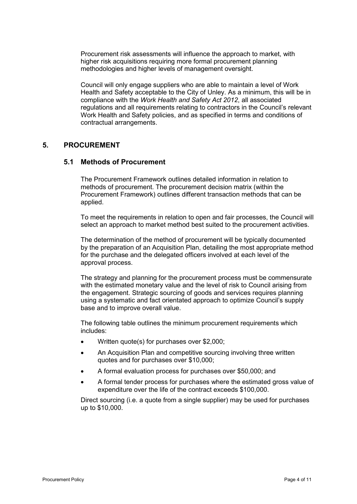Procurement risk assessments will influence the approach to market, with higher risk acquisitions requiring more formal procurement planning methodologies and higher levels of management oversight.

Council will only engage suppliers who are able to maintain a level of Work Health and Safety acceptable to the City of Unley. As a minimum, this will be in compliance with the *Work Health and Safety Act 2012*, all associated regulations and all requirements relating to contractors in the Council's relevant Work Health and Safety policies, and as specified in terms and conditions of contractual arrangements.

#### **5. PROCUREMENT**

#### **5.1 Methods of Procurement**

The Procurement Framework outlines detailed information in relation to methods of procurement. The procurement decision matrix (within the Procurement Framework) outlines different transaction methods that can be applied.

To meet the requirements in relation to open and fair processes, the Council will select an approach to market method best suited to the procurement activities.

The determination of the method of procurement will be typically documented by the preparation of an Acquisition Plan, detailing the most appropriate method for the purchase and the delegated officers involved at each level of the approval process.

The strategy and planning for the procurement process must be commensurate with the estimated monetary value and the level of risk to Council arising from the engagement. Strategic sourcing of goods and services requires planning using a systematic and fact orientated approach to optimize Council's supply base and to improve overall value.

The following table outlines the minimum procurement requirements which includes:

- Written quote(s) for purchases over \$2,000;
- An Acquisition Plan and competitive sourcing involving three written quotes and for purchases over \$10,000;
- A formal evaluation process for purchases over \$50,000; and
- A formal tender process for purchases where the estimated gross value of expenditure over the life of the contract exceeds \$100,000.

Direct sourcing (i.e. a quote from a single supplier) may be used for purchases up to \$10,000.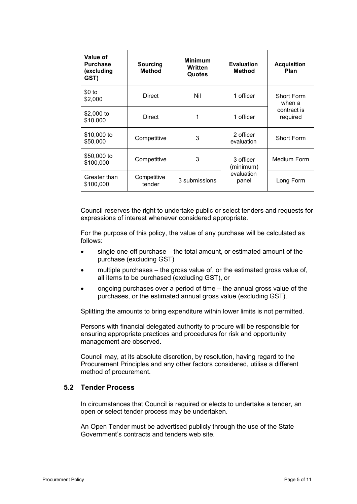| Value of<br><b>Purchase</b><br>(excluding<br>GST) | Sourcing<br><b>Method</b> | <b>Minimum</b><br>Written<br>Quotes | <b>Evaluation</b><br><b>Method</b>            | <b>Acquisition</b><br>Plan                             |
|---------------------------------------------------|---------------------------|-------------------------------------|-----------------------------------------------|--------------------------------------------------------|
| $$0$ to<br>\$2,000                                | <b>Direct</b>             | Nil                                 | 1 officer                                     | <b>Short Form</b><br>when a<br>contract is<br>required |
| \$2,000 to<br>\$10,000                            | <b>Direct</b>             | 1                                   | 1 officer                                     |                                                        |
| \$10,000 to<br>\$50,000                           | Competitive               | 3                                   | 2 officer<br>evaluation                       | <b>Short Form</b>                                      |
| \$50,000 to<br>\$100,000                          | Competitive               | 3                                   | 3 officer<br>(minimum)<br>evaluation<br>panel | <b>Medium Form</b>                                     |
| Greater than<br>\$100,000                         | Competitive<br>tender     | 3 submissions                       |                                               | Long Form                                              |

Council reserves the right to undertake public or select tenders and requests for expressions of interest whenever considered appropriate.

For the purpose of this policy, the value of any purchase will be calculated as follows:

- single one-off purchase the total amount, or estimated amount of the purchase (excluding GST)
- multiple purchases the gross value of, or the estimated gross value of, all items to be purchased (excluding GST), or
- ongoing purchases over a period of time the annual gross value of the purchases, or the estimated annual gross value (excluding GST).

Splitting the amounts to bring expenditure within lower limits is not permitted.

Persons with financial delegated authority to procure will be responsible for ensuring appropriate practices and procedures for risk and opportunity management are observed.

Council may, at its absolute discretion, by resolution, having regard to the Procurement Principles and any other factors considered, utilise a different method of procurement.

#### **5.2 Tender Process**

In circumstances that Council is required or elects to undertake a tender, an open or select tender process may be undertaken.

An Open Tender must be advertised publicly through the use of the State Government's contracts and tenders web site.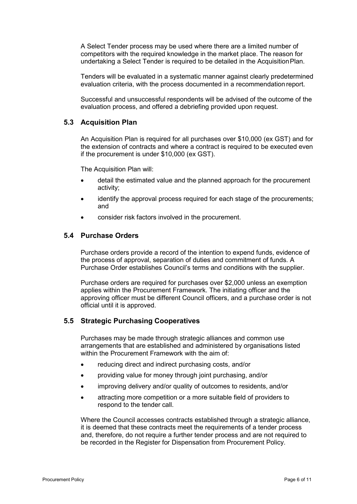A Select Tender process may be used where there are a limited number of competitors with the required knowledge in the market place. The reason for undertaking a Select Tender is required to be detailed in the AcquisitionPlan.

Tenders will be evaluated in a systematic manner against clearly predetermined evaluation criteria, with the process documented in a recommendation report.

Successful and unsuccessful respondents will be advised of the outcome of the evaluation process, and offered a debriefing provided upon request.

#### **5.3 Acquisition Plan**

An Acquisition Plan is required for all purchases over \$10,000 (ex GST) and for the extension of contracts and where a contract is required to be executed even if the procurement is under \$10,000 (ex GST).

The Acquisition Plan will:

- detail the estimated value and the planned approach for the procurement activity;
- identify the approval process required for each stage of the procurements; and
- consider risk factors involved in the procurement.

### **5.4 Purchase Orders**

Purchase orders provide a record of the intention to expend funds, evidence of the process of approval, separation of duties and commitment of funds. A Purchase Order establishes Council's terms and conditions with the supplier.

Purchase orders are required for purchases over \$2,000 unless an exemption applies within the Procurement Framework. The initiating officer and the approving officer must be different Council officers, and a purchase order is not official until it is approved.

#### **5.5 Strategic Purchasing Cooperatives**

Purchases may be made through strategic alliances and common use arrangements that are established and administered by organisations listed within the Procurement Framework with the aim of:

- reducing direct and indirect purchasing costs, and/or
- providing value for money through joint purchasing, and/or
- improving delivery and/or quality of outcomes to residents, and/or
- attracting more competition or a more suitable field of providers to respond to the tender call.

Where the Council accesses contracts established through a strategic alliance, it is deemed that these contracts meet the requirements of a tender process and, therefore, do not require a further tender process and are not required to be recorded in the Register for Dispensation from Procurement Policy.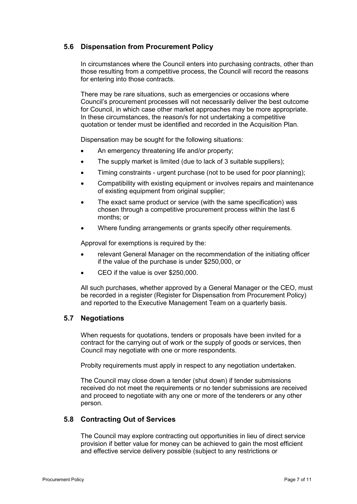# **5.6 Dispensation from Procurement Policy**

In circumstances where the Council enters into purchasing contracts, other than those resulting from a competitive process, the Council will record the reasons for entering into those contracts.

There may be rare situations, such as emergencies or occasions where Council's procurement processes will not necessarily deliver the best outcome for Council, in which case other market approaches may be more appropriate. In these circumstances, the reason/s for not undertaking a competitive quotation or tender must be identified and recorded in the Acquisition Plan.

Dispensation may be sought for the following situations:

- An emergency threatening life and/or property;
- The supply market is limited (due to lack of 3 suitable suppliers);
- Timing constraints urgent purchase (not to be used for poor planning);
- Compatibility with existing equipment or involves repairs and maintenance of existing equipment from original supplier;
- The exact same product or service (with the same specification) was chosen through a competitive procurement process within the last 6 months; or
- Where funding arrangements or grants specify other requirements.

Approval for exemptions is required by the:

- relevant General Manager on the recommendation of the initiating officer if the value of the purchase is under \$250,000, or
- CEO if the value is over \$250,000.

All such purchases, whether approved by a General Manager or the CEO, must be recorded in a register (Register for Dispensation from Procurement Policy) and reported to the Executive Management Team on a quarterly basis.

#### **5.7 Negotiations**

When requests for quotations, tenders or proposals have been invited for a contract for the carrying out of work or the supply of goods or services, then Council may negotiate with one or more respondents.

Probity requirements must apply in respect to any negotiation undertaken.

The Council may close down a tender (shut down) if tender submissions received do not meet the requirements or no tender submissions are received and proceed to negotiate with any one or more of the tenderers or any other person.

#### **5.8 Contracting Out of Services**

The Council may explore contracting out opportunities in lieu of direct service provision if better value for money can be achieved to gain the most efficient and effective service delivery possible (subject to any restrictions or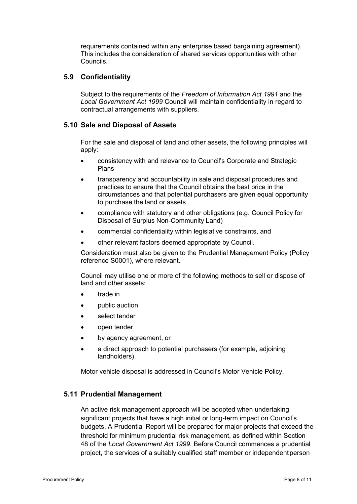requirements contained within any enterprise based bargaining agreement). This includes the consideration of shared services opportunities with other Councils.

### **5.9 Confidentiality**

Subject to the requirements of the *Freedom of Information Act 1991* and the *Local Government Act 1999* Council will maintain confidentiality in regard to contractual arrangements with suppliers.

### **5.10 Sale and Disposal of Assets**

For the sale and disposal of land and other assets, the following principles will apply:

- consistency with and relevance to Council's Corporate and Strategic Plans
- transparency and accountability in sale and disposal procedures and practices to ensure that the Council obtains the best price in the circumstances and that potential purchasers are given equal opportunity to purchase the land or assets
- compliance with statutory and other obligations (e.g. Council Policy for Disposal of Surplus Non-Community Land)
- commercial confidentiality within legislative constraints, and
- other relevant factors deemed appropriate by Council.

Consideration must also be given to the Prudential Management Policy (Policy reference S0001), where relevant.

Council may utilise one or more of the following methods to sell or dispose of land and other assets:

- trade in
- public auction
- select tender
- open tender
- by agency agreement, or
- a direct approach to potential purchasers (for example, adjoining landholders).

Motor vehicle disposal is addressed in Council's Motor Vehicle Policy.

# **5.11 Prudential Management**

An active risk management approach will be adopted when undertaking significant projects that have a high initial or long-term impact on Council's budgets. A Prudential Report will be prepared for major projects that exceed the threshold for minimum prudential risk management, as defined within Section 48 of the *Local Government Act 1999*. Before Council commences a prudential project, the services of a suitably qualified staff member or independent person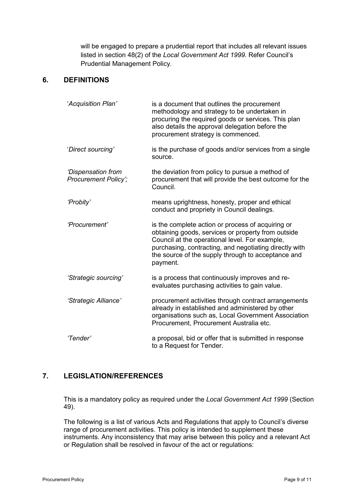will be engaged to prepare a prudential report that includes all relevant issues listed in section 48(2) of the *Local Government Act 1999.* Refer Council's Prudential Management Policy*.*

# **6. DEFINITIONS**

| 'Acquisition Plan'                                | is a document that outlines the procurement<br>methodology and strategy to be undertaken in<br>procuring the required goods or services. This plan<br>also details the approval delegation before the<br>procurement strategy is commenced.                                           |
|---------------------------------------------------|---------------------------------------------------------------------------------------------------------------------------------------------------------------------------------------------------------------------------------------------------------------------------------------|
| 'Direct sourcing'                                 | is the purchase of goods and/or services from a single<br>source.                                                                                                                                                                                                                     |
| 'Dispensation from<br><b>Procurement Policy';</b> | the deviation from policy to pursue a method of<br>procurement that will provide the best outcome for the<br>Council.                                                                                                                                                                 |
| 'Probity'                                         | means uprightness, honesty, proper and ethical<br>conduct and propriety in Council dealings.                                                                                                                                                                                          |
| 'Procurement'                                     | is the complete action or process of acquiring or<br>obtaining goods, services or property from outside<br>Council at the operational level. For example,<br>purchasing, contracting, and negotiating directly with<br>the source of the supply through to acceptance and<br>payment. |
| 'Strategic sourcing'                              | is a process that continuously improves and re-<br>evaluates purchasing activities to gain value.                                                                                                                                                                                     |
| 'Strategic Alliance'                              | procurement activities through contract arrangements<br>already in established and administered by other<br>organisations such as, Local Government Association<br>Procurement, Procurement Australia etc.                                                                            |
| 'Tender'                                          | a proposal, bid or offer that is submitted in response<br>to a Request for Tender.                                                                                                                                                                                                    |

# **7. LEGISLATION/REFERENCES**

This is a mandatory policy as required under the *Local Government Act 1999* (Section 49).

The following is a list of various Acts and Regulations that apply to Council's diverse range of procurement activities. This policy is intended to supplement these instruments. Any inconsistency that may arise between this policy and a relevant Act or Regulation shall be resolved in favour of the act or regulations: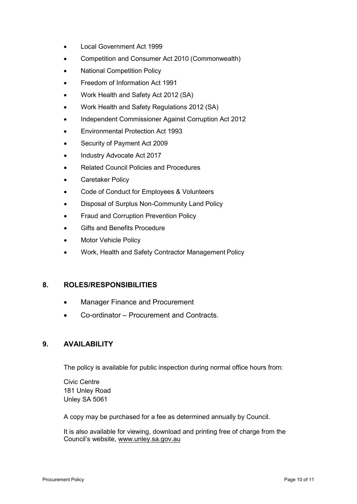- Local Government Act 1999
- Competition and Consumer Act 2010 (Commonwealth)
- National Competition Policy
- Freedom of Information Act 1991
- Work Health and Safety Act 2012 (SA)
- Work Health and Safety Regulations 2012 (SA)
- Independent Commissioner Against Corruption Act 2012
- Environmental Protection Act 1993
- Security of Payment Act 2009
- Industry Advocate Act 2017
- Related Council Policies and Procedures
- Caretaker Policy
- Code of Conduct for Employees & Volunteers
- Disposal of Surplus Non-Community Land Policy
- Fraud and Corruption Prevention Policy
- Gifts and Benefits Procedure
- **Motor Vehicle Policy**
- Work, Health and Safety Contractor Management Policy

#### **8. ROLES/RESPONSIBILITIES**

- Manager Finance and Procurement
- Co-ordinator Procurement and Contracts.

### **9. AVAILABILITY**

The policy is available for public inspection during normal office hours from:

Civic Centre 181 Unley Road Unley SA 5061

A copy may be purchased for a fee as determined annually by Council.

It is also available for viewing, download and printing free of charge from the Council's website, [www.unley.sa.gov.au](http://www.unley.sa.gov.au/)